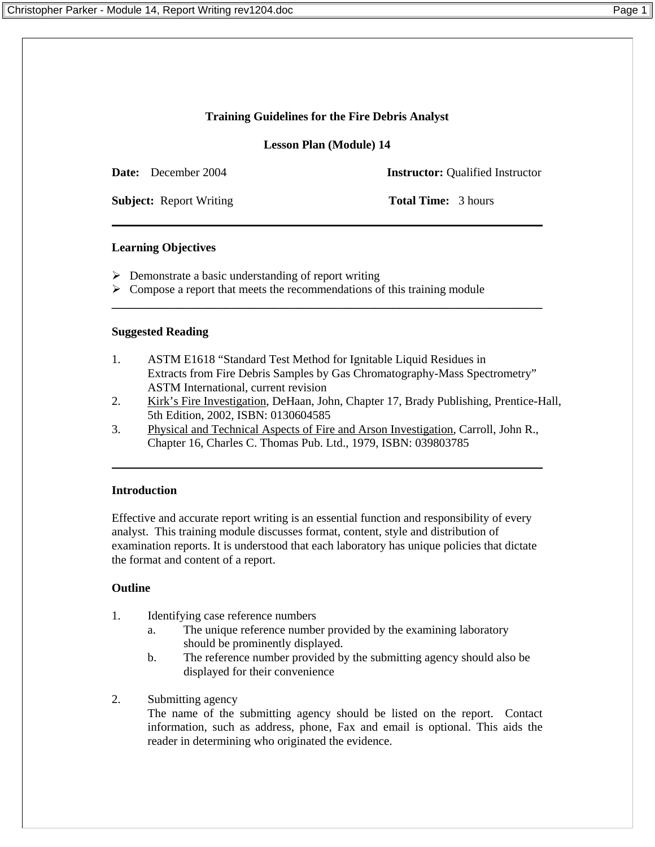## **Training Guidelines for the Fire Debris Analyst**

**Lesson Plan (Module) 14**

**Date:** December 2004 **Instructor:** Oualified Instructor

**Subject:** Report Writing **Total Time:** 3 hours

## **Learning Objectives**

- $\triangleright$  Demonstrate a basic understanding of report writing
- $\triangleright$  Compose a report that meets the recommendations of this training module

#### **Suggested Reading**

1. ASTM E1618 "Standard Test Method for Ignitable Liquid Residues in Extracts from Fire Debris Samples by Gas Chromatography-Mass Spectrometry" ASTM International, current revision

**\_\_\_\_\_\_\_\_\_\_\_\_\_\_\_\_\_\_\_\_\_\_\_\_\_\_\_\_\_\_\_\_\_\_\_\_\_\_\_\_\_\_\_\_\_\_\_\_\_\_\_\_\_\_\_\_\_\_\_\_\_\_\_\_\_\_\_\_\_\_\_\_** 

- 2. Kirk's Fire Investigation, DeHaan, John, Chapter 17, Brady Publishing, Prentice-Hall, 5th Edition, 2002, ISBN: 0130604585
- 3. Physical and Technical Aspects of Fire and Arson Investigation, Carroll, John R., Chapter 16, Charles C. Thomas Pub. Ltd., 1979, ISBN: 039803785

#### **Introduction**

Effective and accurate report writing is an essential function and responsibility of every analyst. This training module discusses format, content, style and distribution of examination reports. It is understood that each laboratory has unique policies that dictate the format and content of a report.

# **Outline**

- 1. Identifying case reference numbers
	- a. The unique reference number provided by the examining laboratory should be prominently displayed.
	- b. The reference number provided by the submitting agency should also be displayed for their convenience
- 2. Submitting agency

The name of the submitting agency should be listed on the report. Contact information, such as address, phone, Fax and email is optional. This aids the reader in determining who originated the evidence.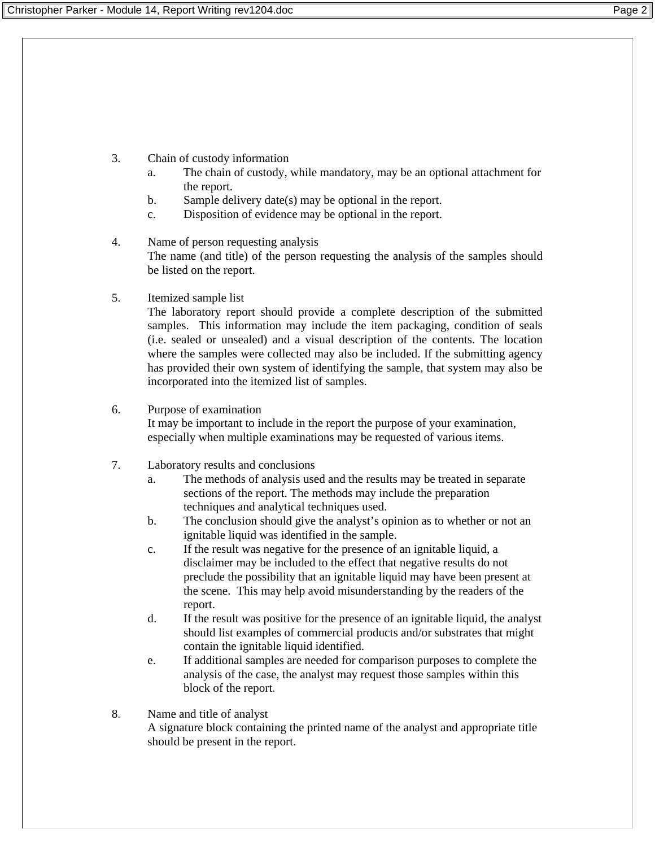- 3. Chain of custody information
	- a. The chain of custody, while mandatory, may be an optional attachment for the report.
	- b. Sample delivery date(s) may be optional in the report.
	- c. Disposition of evidence may be optional in the report.
- 4. Name of person requesting analysis The name (and title) of the person requesting the analysis of the samples should be listed on the report.

## 5. Itemized sample list

The laboratory report should provide a complete description of the submitted samples. This information may include the item packaging, condition of seals (i.e. sealed or unsealed) and a visual description of the contents. The location where the samples were collected may also be included. If the submitting agency has provided their own system of identifying the sample, that system may also be incorporated into the itemized list of samples.

## 6. Purpose of examination

It may be important to include in the report the purpose of your examination, especially when multiple examinations may be requested of various items.

- 7. Laboratory results and conclusions
	- a. The methods of analysis used and the results may be treated in separate sections of the report. The methods may include the preparation techniques and analytical techniques used.
	- b. The conclusion should give the analyst's opinion as to whether or not an ignitable liquid was identified in the sample.
	- c. If the result was negative for the presence of an ignitable liquid, a disclaimer may be included to the effect that negative results do not preclude the possibility that an ignitable liquid may have been present at the scene. This may help avoid misunderstanding by the readers of the report.
	- d. If the result was positive for the presence of an ignitable liquid, the analyst should list examples of commercial products and/or substrates that might contain the ignitable liquid identified.
	- e. If additional samples are needed for comparison purposes to complete the analysis of the case, the analyst may request those samples within this block of the report.

## 8. Name and title of analyst A signature block containing the printed name of the analyst and appropriate title should be present in the report.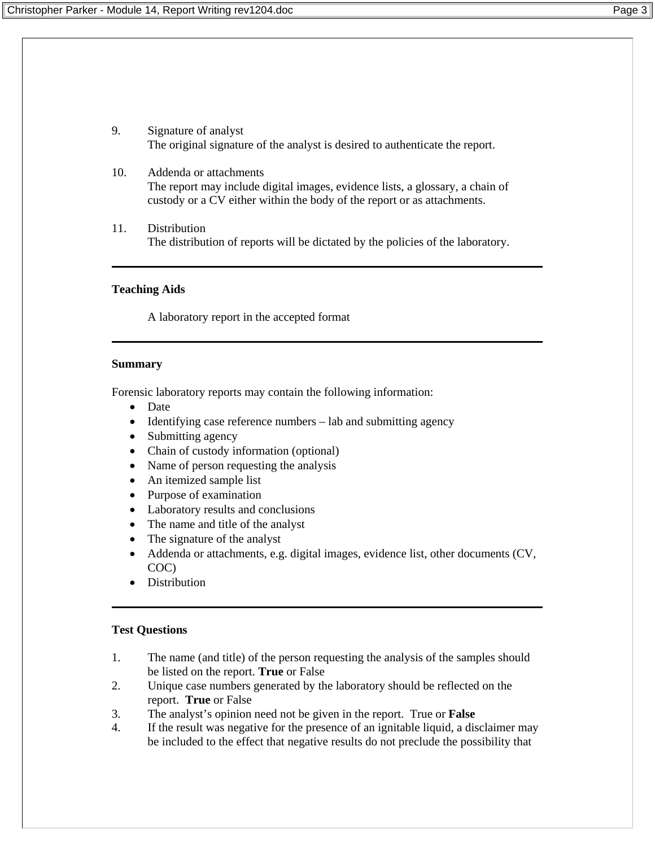- 9. Signature of analyst The original signature of the analyst is desired to authenticate the report.
- 10. Addenda or attachments The report may include digital images, evidence lists, a glossary, a chain of custody or a CV either within the body of the report or as attachments.
- 11. Distribution The distribution of reports will be dictated by the policies of the laboratory.

#### **Teaching Aids**

A laboratory report in the accepted format

#### **Summary**

Forensic laboratory reports may contain the following information:

- Date
- Identifying case reference numbers lab and submitting agency
- Submitting agency
- Chain of custody information (optional)
- Name of person requesting the analysis
- An itemized sample list
- Purpose of examination
- Laboratory results and conclusions
- The name and title of the analyst
- The signature of the analyst
- Addenda or attachments, e.g. digital images, evidence list, other documents (CV, COC)
- Distribution

#### **Test Questions**

- 1. The name (and title) of the person requesting the analysis of the samples should be listed on the report. **True** or False
- 2. Unique case numbers generated by the laboratory should be reflected on the report. **True** or False
- 3. The analyst's opinion need not be given in the report. True or **False**
- 4. If the result was negative for the presence of an ignitable liquid, a disclaimer may be included to the effect that negative results do not preclude the possibility that